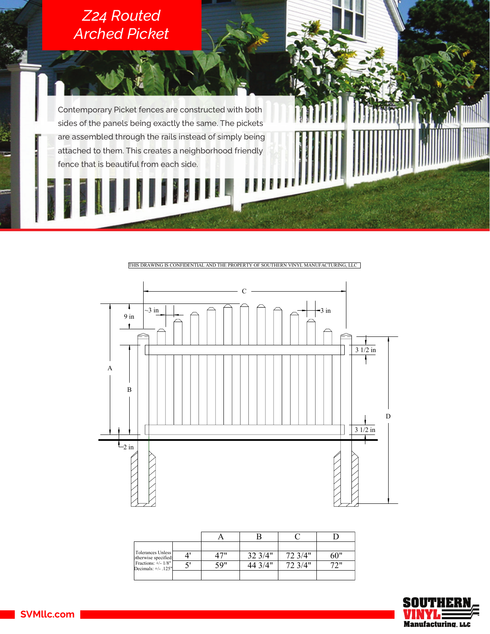## *Z24 Routed Arched Picket*

Contemporary Picket fences are constructed with both sides of the panels being exactly the same. The pickets are assembled through the rails instead of simply being attached to them. This creates a neighborhood friendly fence that is beautiful from each side.

THIS DRAWING IS CONFIDENTIAL AND THE PROPERTY OF SOUTHERN VINYL MANUFACTURING, LLC



| Tolerances Unless<br>otherwise specified:     | 47" | 32 3/4" | 72 3/4" | 60" |
|-----------------------------------------------|-----|---------|---------|-----|
| Fractions: +/- 1/8"<br>Decimals: $+/$ - .125" | 59" | 44 3/4" | 72 3/4" | 72" |
|                                               |     |         |         |     |